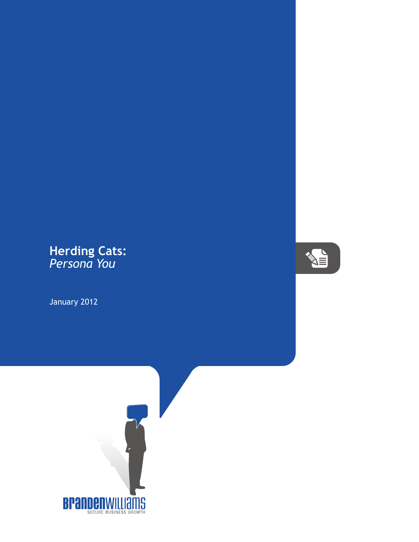## **Herding Cats:** *Persona You*

January 2012



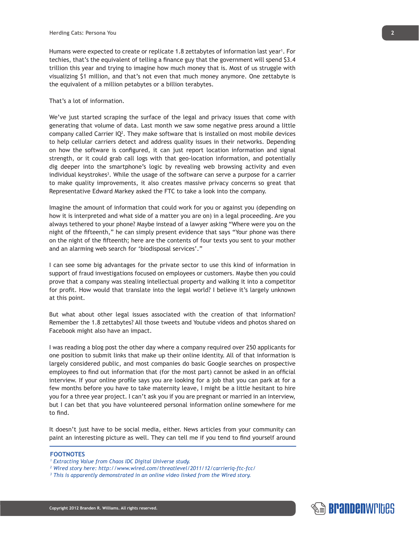Humans were expected to create or replicate 1.8 zettabytes of information last year<sup>1</sup>. For techies, that's the equivalent of telling a finance guy that the government will spend \$3.4 trillion this year and trying to imagine how much money that is. Most of us struggle with visualizing \$1 million, and that's not even that much money anymore. One zettabyte is the equivalent of a million petabytes or a billion terabytes.

## That's a lot of information.

We've just started scraping the surface of the legal and privacy issues that come with generating that volume of data. Last month we saw some negative press around a little company called Carrier  $IQ^2$ . They make software that is installed on most mobile devices to help cellular carriers detect and address quality issues in their networks. Depending on how the software is configured, it can just report location information and signal strength, or it could grab call logs with that geo-location information, and potentially dig deeper into the smartphone's logic by revealing web browsing activity and even individual keystrokes<sup>3</sup>. While the usage of the software can serve a purpose for a carrier to make quality improvements, it also creates massive privacy concerns so great that Representative Edward Markey asked the FTC to take a look into the company.

Imagine the amount of information that could work for you or against you (depending on how it is interpreted and what side of a matter you are on) in a legal proceeding. Are you always tethered to your phone? Maybe instead of a lawyer asking "Where were you on the night of the fifteenth," he can simply present evidence that says "Your phone was there on the night of the fifteenth; here are the contents of four texts you sent to your mother and an alarming web search for 'biodisposal services'."

I can see some big advantages for the private sector to use this kind of information in support of fraud investigations focused on employees or customers. Maybe then you could prove that a company was stealing intellectual property and walking it into a competitor for profit. How would that translate into the legal world? I believe it's largely unknown at this point.

But what about other legal issues associated with the creation of that information? Remember the 1.8 zettabytes? All those tweets and Youtube videos and photos shared on Facebook might also have an impact.

I was reading a blog post the other day where a company required over 250 applicants for one position to submit links that make up their online identity. All of that information is largely considered public, and most companies do basic Google searches on prospective employees to find out information that (for the most part) cannot be asked in an official interview. If your online profile says you are looking for a job that you can park at for a few months before you have to take maternity leave, I might be a little hesitant to hire you for a three year project. I can't ask you if you are pregnant or married in an interview, but I can bet that you have volunteered personal information online somewhere for me to find.

It doesn't just have to be social media, either. News articles from your community can paint an interesting picture as well. They can tell me if you tend to find yourself around

## **FOOTNOTES**

*1 Extracting Value from Chaos IDC Digital Universe study.*

**Copyright 2012 Branden R. Williams. All rights reserved.**

- *2 Wired story here: http://www.wired.com/threatlevel/2011/12/carrieriq-ftc-fcc/*
- *3 This is apparently demonstrated in an online video linked from the Wired story.*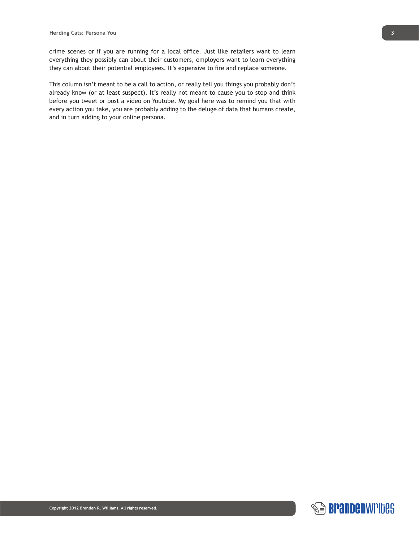crime scenes or if you are running for a local office. Just like retailers want to learn everything they possibly can about their customers, employers want to learn everything they can about their potential employees. It's expensive to fire and replace someone.

This column isn't meant to be a call to action, or really tell you things you probably don't already know (or at least suspect). It's really not meant to cause you to stop and think before you tweet or post a video on Youtube. My goal here was to remind you that with every action you take, you are probably adding to the deluge of data that humans create, and in turn adding to your online persona.